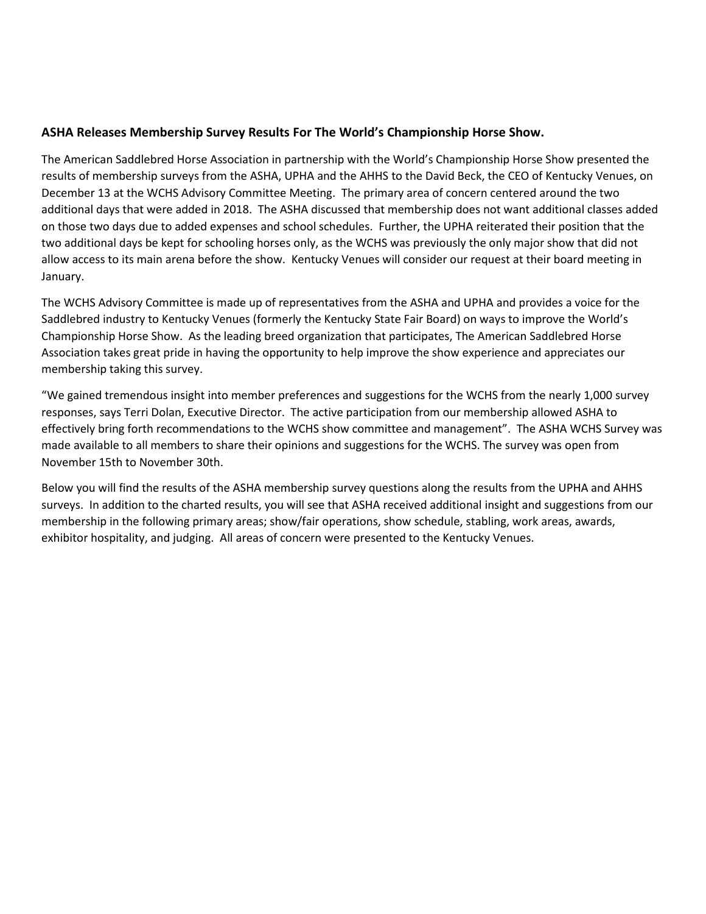## **ASHA Releases Membership Survey Results For The World's Championship Horse Show.**

The American Saddlebred Horse Association in partnership with the World's Championship Horse Show presented the results of membership surveys from the ASHA, UPHA and the AHHS to the David Beck, the CEO of Kentucky Venues, on December 13 at the WCHS Advisory Committee Meeting. The primary area of concern centered around the two additional days that were added in 2018. The ASHA discussed that membership does not want additional classes added on those two days due to added expenses and school schedules. Further, the UPHA reiterated their position that the two additional days be kept for schooling horses only, as the WCHS was previously the only major show that did not allow access to its main arena before the show. Kentucky Venues will consider our request at their board meeting in January.

The WCHS Advisory Committee is made up of representatives from the ASHA and UPHA and provides a voice for the Saddlebred industry to Kentucky Venues (formerly the Kentucky State Fair Board) on ways to improve the World's Championship Horse Show. As the leading breed organization that participates, The American Saddlebred Horse Association takes great pride in having the opportunity to help improve the show experience and appreciates our membership taking this survey.

"We gained tremendous insight into member preferences and suggestions for the WCHS from the nearly 1,000 survey responses, says Terri Dolan, Executive Director. The active participation from our membership allowed ASHA to effectively bring forth recommendations to the WCHS show committee and management". The ASHA WCHS Survey was made available to all members to share their opinions and suggestions for the WCHS. The survey was open from November 15th to November 30th.

Below you will find the results of the ASHA membership survey questions along the results from the UPHA and AHHS surveys. In addition to the charted results, you will see that ASHA received additional insight and suggestions from our membership in the following primary areas; show/fair operations, show schedule, stabling, work areas, awards, exhibitor hospitality, and judging. All areas of concern were presented to the Kentucky Venues.